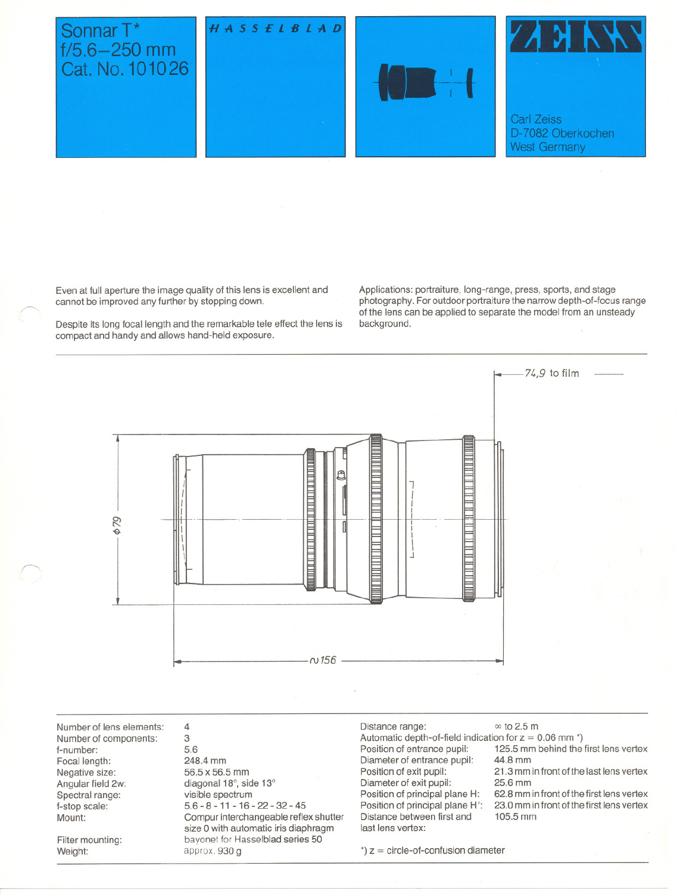







Even at full aperture the image quality of this leng is excellent and cannot be improved any further by stopping down.

Despite its long focal length and the remarkable tele effect the lens is compact and handy and allows hand-held exposure.

Applications: portraiture, long-range, press, sports, and stage photography. For outdoor portraiture the narrow depth-of-focus range of the leng can be applied to separate the model from an unsteady background.



Number of leng elements: Number of components: f-number: Focal length: Negative size: Angular field 2w: Spectral range: f-stop scale: Mount:

4

Filter mounting: Weight:

r--...

3 5.6 248.4 mm 56.5 x 56.5 mm diagonal 18°, side 13° visible spectrum 5.6 - 8 - **11** - 16 - 22 - 32 - 45 Compur interchangeable reflex shutter size 0 with automatic iris diaphragm bayonet for Hasselblad series 50 approx. 930 g

Distance range:  $\infty$  to 2.5 m Automatic depth-of-field indication for  $z = 0.06$  mm \*)<br>Position of entrance pupil: 125.5 mm behind the Diameter of entrance pupil:<br>Position of exit pupil: Diameter of exit pupil:<br>Position of principal plane H: Distance between first and last lens vertex:

125.5 mm behind the first lens vertex<br>44.8 mm

21.3 mm in front of the last lens vertex<br>25.6 mm

Position of principal plane H: 62.8 mm in front of the first lens vertex<br>Position of principal plane H': 23.0 mm in front of the first lens vertex 23.0 mm in front of the first lens vertex<br>105.5 mm

 $*$ ) z = circle-of-confusion diameter